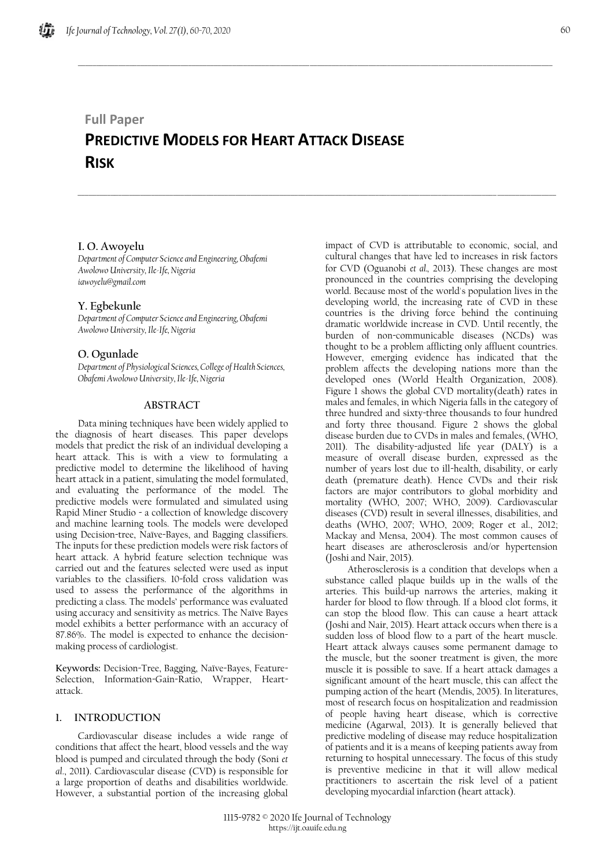# **Full Paper**

# **PREDICTIVE MODELS FOR HEART ATTACK DISEASE RISK**

 $\_$  , and the set of the set of the set of the set of the set of the set of the set of the set of the set of the set of the set of the set of the set of the set of the set of the set of the set of the set of the set of th

\_\_\_\_\_\_\_\_\_\_\_\_\_\_\_\_\_\_\_\_\_\_\_\_\_\_\_\_\_\_\_\_\_\_\_\_\_\_\_\_\_\_\_\_\_\_\_\_\_\_\_\_\_\_\_\_\_\_\_\_\_\_\_\_\_\_\_\_\_\_\_\_\_\_\_\_\_\_\_\_\_\_\_\_\_\_\_\_\_\_\_\_\_\_\_\_\_\_\_\_\_\_\_\_\_\_\_\_\_\_\_\_\_\_\_\_\_\_\_\_\_\_\_\_\_\_\_\_\_\_

# **I. O. Awoyelu**

*Department of Computer Science and Engineering, Obafemi Awolowo University, Ile-Ife, Nigeria iawoyelu@gmail.com*

## **Y. Egbekunle**

*Department of Computer Science and Engineering, Obafemi Awolowo University, Ile-Ife, Nigeria*

# **O. Ogunlade**

*Department of Physiological Sciences, College of Health Sciences, Obafemi Awolowo University, Ile-Ife, Nigeria*

# **ABSTRACT**

Data mining techniques have been widely applied to the diagnosis of heart diseases. This paper develops models that predict the risk of an individual developing a heart attack. This is with a view to formulating a predictive model to determine the likelihood of having heart attack in a patient, simulating the model formulated, and evaluating the performance of the model. The predictive models were formulated and simulated using Rapid Miner Studio - a collection of knowledge discovery and machine learning tools. The models were developed using Decision-tree, Naïve-Bayes, and Bagging classifiers. The inputs for these prediction models were risk factors of heart attack. A hybrid feature selection technique was carried out and the features selected were used as input variables to the classifiers. 10-fold cross validation was used to assess the performance of the algorithms in predicting a class. The models' performance was evaluated using accuracy and sensitivity as metrics. The Naïve Bayes model exhibits a better performance with an accuracy of 87.86%. The model is expected to enhance the decisionmaking process of cardiologist.

**Keywords:** Decision-Tree, Bagging, Naïve-Bayes, Feature-Selection, Information-Gain-Ratio, Wrapper, Heartattack.

# **1. INTRODUCTION**

Cardiovascular disease includes a wide range of conditions that affect the heart, blood vessels and the way blood is pumped and circulated through the body (Soni *et al*., 2011). Cardiovascular disease (CVD) is responsible for a large proportion of deaths and disabilities worldwide. However, a substantial portion of the increasing global

impact of CVD is attributable to economic, social, and cultural changes that have led to increases in risk factors for CVD (Oguanobi *et al.,* 2013). These changes are most pronounced in the countries comprising the developing world. Because most of the world's population lives in the developing world, the increasing rate of CVD in these countries is the driving force behind the continuing dramatic worldwide increase in CVD. Until recently, the burden of non-communicable diseases (NCDs) was thought to be a problem afflicting only affluent countries. However, emerging evidence has indicated that the problem affects the developing nations more than the developed ones (World Health Organization, 2008). Figure 1 shows the global CVD mortality(death) rates in males and females, in which Nigeria falls in the category of three hundred and sixty-three thousands to four hundred and forty three thousand. Figure 2 shows the global disease burden due to CVDs in males and females, (WHO, 2011). The disability-adjusted life year (DALY) is a measure of overall disease burden, expressed as the number of years lost due to ill-health, disability, or early death (premature death). Hence CVDs and their risk factors are major contributors to global morbidity and mortality (WHO, 2007; WHO, 2009). Cardiovascular diseases (CVD) result in several illnesses, disabilities, and deaths (WHO, 2007; WHO, 2009; Roger et al., 2012; Mackay and Mensa, 2004). The most common causes of heart diseases are atherosclerosis and/or hypertension (Joshi and Nair, 2015).

Atherosclerosis is a condition that develops when a substance called plaque builds up in the walls of the arteries. This build-up narrows the arteries, making it harder for blood to flow through. If a blood clot forms, it can stop the blood flow. This can cause a heart attack (Joshi and Nair, 2015). Heart attack occurs when there is a sudden loss of blood flow to a part of the heart muscle. Heart attack always causes some permanent damage to the muscle, but the sooner treatment is given, the more muscle it is possible to save. If a heart attack damages a significant amount of the heart muscle, this can affect the pumping action of the heart (Mendis, 2005). In literatures, most of research focus on hospitalization and readmission of people having heart disease, which is corrective medicine (Agarwal, 2013). It is generally believed that predictive modeling of disease may reduce hospitalization of patients and it is a means of keeping patients away from returning to hospital unnecessary. The focus of this study is preventive medicine in that it will allow medical practitioners to ascertain the risk level of a patient developing myocardial infarction (heart attack).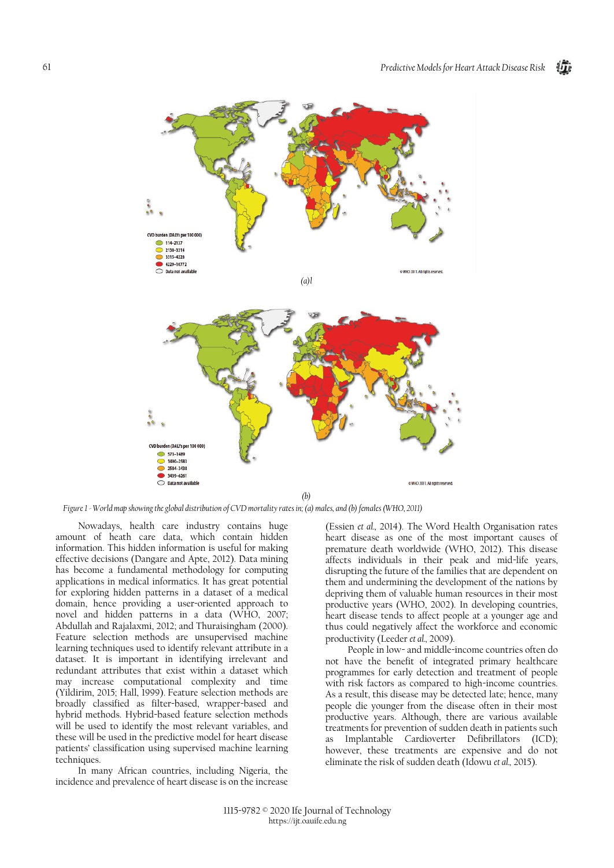

*Figure 1 - World map showing the global distribution of CVD mortality rates in; (a) males, and (b) females (WHO, 2011)*

Nowadays, health care industry contains huge amount of heath care data, which contain hidden information. This hidden information is useful for making effective decisions (Dangare and Apte, 2012). Data mining has become a fundamental methodology for computing applications in medical informatics. It has great potential for exploring hidden patterns in a dataset of a medical domain, hence providing a user-oriented approach to novel and hidden patterns in a data (WHO, 2007; Abdullah and Rajalaxmi, 2012; and Thuraisingham (2000). Feature selection methods are unsupervised machine learning techniques used to identify relevant attribute in a dataset. It is important in identifying irrelevant and redundant attributes that exist within a dataset which may increase computational complexity and time (Yildirim, 2015; Hall, 1999). Feature selection methods are broadly classified as filter-based, wrapper-based and hybrid methods. Hybrid-based feature selection methods will be used to identify the most relevant variables, and these will be used in the predictive model for heart disease patients' classification using supervised machine learning techniques.

In many African countries, including Nigeria, the incidence and prevalence of heart disease is on the increase

(Essien *et al.,* 2014). The Word Health Organisation rates heart disease as one of the most important causes of premature death worldwide (WHO, 2012). This disease affects individuals in their peak and mid-life years, disrupting the future of the families that are dependent on them and undermining the development of the nations by depriving them of valuable human resources in their most productive years (WHO, 2002). In developing countries, heart disease tends to affect people at a younger age and thus could negatively affect the workforce and economic productivity (Leeder *et al.,* 2009).

People in low- and middle-income countries often do not have the benefit of integrated primary healthcare programmes for early detection and treatment of people with risk factors as compared to high-income countries. As a result, this disease may be detected late; hence, many people die younger from the disease often in their most productive years. Although, there are various available treatments for prevention of sudden death in patients such as Implantable Cardioverter Defibrillators (ICD); however, these treatments are expensive and do not eliminate the risk of sudden death (Idowu *et al.,* 2015).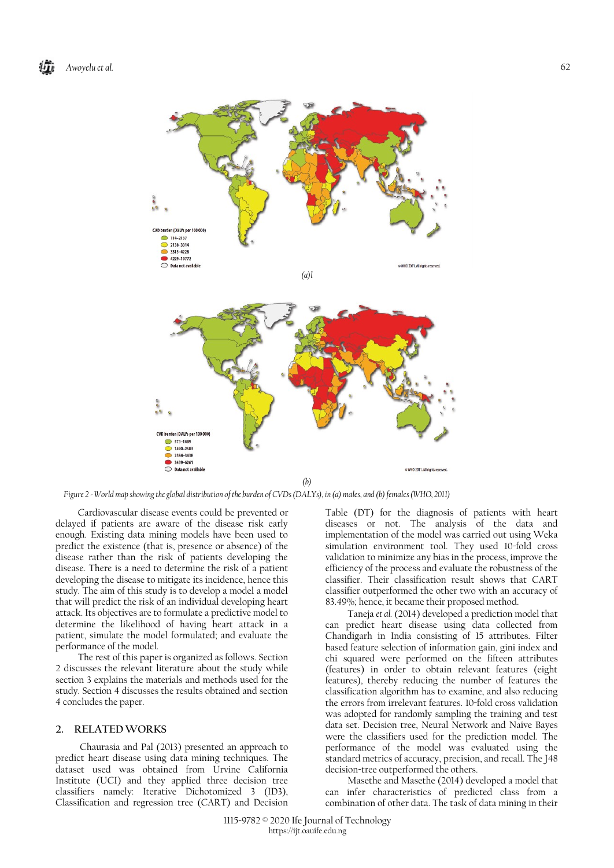

*Figure 2 - World map showing the global distribution of the burden of CVDs (DALYs), in (a) males, and (b) females (WHO, 2011)*

Cardiovascular disease events could be prevented or delayed if patients are aware of the disease risk early enough. Existing data mining models have been used to predict the existence (that is, presence or absence) of the disease rather than the risk of patients developing the disease. There is a need to determine the risk of a patient developing the disease to mitigate its incidence, hence this study. The aim of this study is to develop a model a model that will predict the risk of an individual developing heart attack. Its objectives are to formulate a predictive model to determine the likelihood of having heart attack in a patient, simulate the model formulated; and evaluate the performance of the model.

The rest of this paper is organized as follows. Section 2 discusses the relevant literature about the study while section 3 explains the materials and methods used for the study. Section 4 discusses the results obtained and section 4 concludes the paper.

## **2. RELATEDWORKS**

Chaurasia and Pal (2013) presented an approach to predict heart disease using data mining techniques. The dataset used was obtained from Urvine California Institute (UCI) and they applied three decision tree classifiers namely: Iterative Dichotomized 3 (ID3), Classification and regression tree (CART) and Decision

Table (DT) for the diagnosis of patients with heart diseases or not. The analysis of the data and implementation of the model was carried out using Weka simulation environment tool. They used 10-fold cross validation to minimize any bias in the process, improve the efficiency of the process and evaluate the robustness of the classifier. Their classification result shows that CART classifier outperformed the other two with an accuracy of 83.49%; hence, it became their proposed method.

Taneja *et al.* (2014) developed a prediction model that can predict heart disease using data collected from Chandigarh in India consisting of 15 attributes. Filter based feature selection of information gain, gini index and chi squared were performed on the fifteen attributes (features) in order to obtain relevant features (eight features), thereby reducing the number of features the classification algorithm has to examine, and also reducing the errors from irrelevant features. 10-fold cross validation was adopted for randomly sampling the training and test data set. Decision tree, Neural Network and Naive Bayes were the classifiers used for the prediction model. The performance of the model was evaluated using the standard metrics of accuracy, precision, and recall. The J48 decision-tree outperformed the others.

Masethe and Masethe (2014) developed a model that can infer characteristics of predicted class from a combination of other data. The task of data mining in their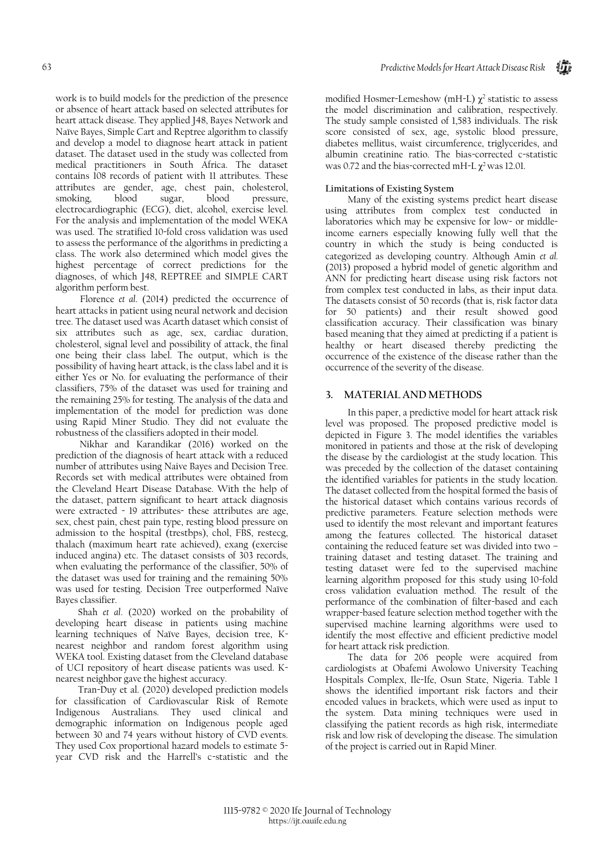work is to build models for the prediction of the presence or absence of heart attack based on selected attributes for heart attack disease. They applied J48, Bayes Network and Naïve Bayes, Simple Cart and Reptree algorithm to classify and develop a model to diagnose heart attack in patient dataset. The dataset used in the study was collected from medical practitioners in South Africa. The dataset contains 108 records of patient with 11 attributes. These attributes are gender, age, chest pain, cholesterol, smoking, blood sugar, blood pressure, electrocardiographic (ECG), diet, alcohol, exercise level. For the analysis and implementation of the model WEKA was used. The stratified 10-fold cross validation was used to assess the performance of the algorithms in predicting a class. The work also determined which model gives the highest percentage of correct predictions for the diagnoses, of which J48, REPTREE and SIMPLE CART algorithm perform best.

Florence *et al*. (2014) predicted the occurrence of heart attacks in patient using neural network and decision tree. The dataset used was Acarth dataset which consist of six attributes such as age, sex, cardiac duration, cholesterol, signal level and possibility of attack, the final one being their class label. The output, which is the possibility of having heart attack, is the class label and it is either Yes or No. for evaluating the performance of their classifiers, 75% of the dataset was used for training and the remaining 25% for testing. The analysis of the data and implementation of the model for prediction was done using Rapid Miner Studio. They did not evaluate the robustness of the classifiers adopted in their model.

Nikhar and Karandikar (2016) worked on the prediction of the diagnosis of heart attack with a reduced number of attributes using Naive Bayes and Decision Tree. Records set with medical attributes were obtained from the Cleveland Heart Disease Database. With the help of the dataset, pattern significant to heart attack diagnosis were extracted - 19 attributes- these attributes are age, sex, chest pain, chest pain type, resting blood pressure on admission to the hospital (trestbps), chol, FBS, restecg, thalach (maximum heart rate achieved), exang (exercise induced angina) etc. The dataset consists of 303 records, when evaluating the performance of the classifier, 50% of the dataset was used for training and the remaining 50% was used for testing. Decision Tree outperformed Naïve Bayes classifier.

Shah *et al*. (2020) worked on the probability of developing heart disease in patients using machine learning techniques of Naïve Bayes, decision tree, Knearest neighbor and random forest algorithm using WEKA tool. Existing dataset from the Cleveland database of UCI repository of heart disease patients was used. Knearest neighbor gave the highest accuracy.

Tran-Duy et al. (2020) developed prediction models for classification of Cardiovascular Risk of Remote Indigenous Australians. They used clinical and demographic information on Indigenous people aged between 30 and 74 years without history of CVD events. They used Cox proportional hazard models to estimate 5 year CVD risk and the Harrell's c-statistic and the

modified Hosmer-Lemeshow (mH-L)  $\chi^2$  statistic to assess the model discrimination and calibration, respectively. The study sample consisted of 1,583 individuals. The risk score consisted of sex, age, systolic blood pressure, diabetes mellitus, waist circumference, triglycerides, and albumin creatinine ratio. The bias-corrected c-statistic was 0.72 and the bias-corrected mH-L  $\chi^2$  was 12.01.

# **Limitations of Existing System**

Many of the existing systems predict heart disease using attributes from complex test conducted in laboratories which may be expensive for low- or middleincome earners especially knowing fully well that the country in which the study is being conducted is categorized as developing country. Although Amin *et al.* (2013) proposed a hybrid model of genetic algorithm and ANN for predicting heart disease using risk factors not from complex test conducted in labs, as their input data. The datasets consist of 50 records (that is, risk factor data for 50 patients) and their result showed good classification accuracy. Their classification was binary based meaning that they aimed at predicting if a patient is healthy or heart diseased thereby predicting the occurrence of the existence of the disease rather than the occurrence of the severity of the disease.

# **3. MATERIAL AND METHODS**

In this paper, a predictive model for heart attack risk level was proposed. The proposed predictive model is depicted in Figure 3. The model identifies the variables monitored in patients and those at the risk of developing the disease by the cardiologist at the study location. This was preceded by the collection of the dataset containing the identified variables for patients in the study location. The dataset collected from the hospital formed the basis of the historical dataset which contains various records of predictive parameters. Feature selection methods were used to identify the most relevant and important features among the features collected. The historical dataset containing the reduced feature set was divided into two – training dataset and testing dataset. The training and testing dataset were fed to the supervised machine learning algorithm proposed for this study using 10-fold cross validation evaluation method. The result of the performance of the combination of filter-based and each wrapper-based feature selection method together with the supervised machine learning algorithms were used to identify the most effective and efficient predictive model for heart attack risk prediction.

The data for 206 people were acquired from cardiologists at Obafemi Awolowo University Teaching Hospitals Complex, Ile-Ife, Osun State, Nigeria. Table 1 shows the identified important risk factors and their encoded values in brackets, which were used as input to the system. Data mining techniques were used in classifying the patient records as high risk, intermediate risk and low risk of developing the disease. The simulation of the project is carried out in Rapid Miner.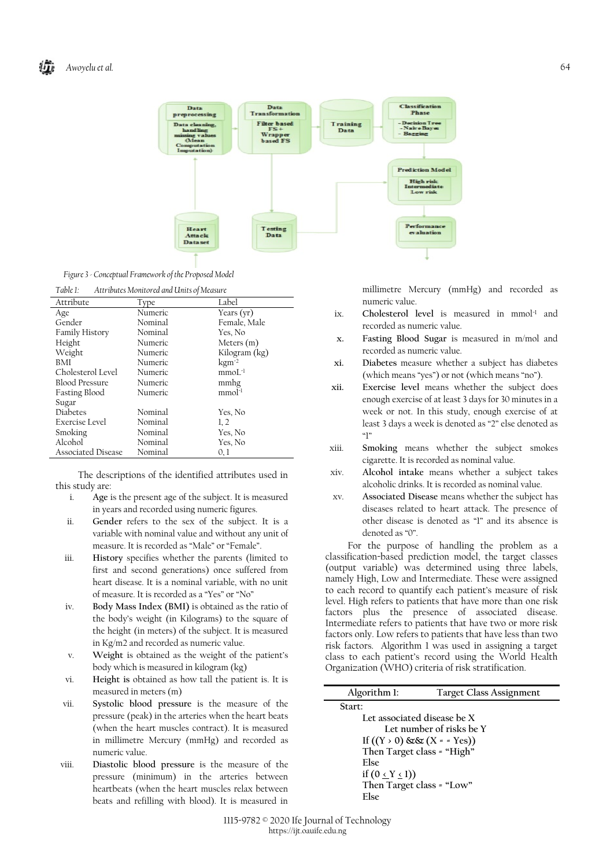

*Figure 3 - Conceptual Framework of the Proposed Model*

*Table 1: Attributes Monitored and Units of Measure*

| Attribute             | Type    | Label               |
|-----------------------|---------|---------------------|
| Age                   | Numeric | Years $(yr)$        |
| Gender                | Nominal | Female, Male        |
| <b>Family History</b> | Nominal | Yes, No             |
| Height                | Numeric | Meters $(m)$        |
| Weight                | Numeric | Kilogram (kg)       |
| BMI                   | Numeric | $\mathrm{kgm^{-2}}$ |
| Cholesterol Level     | Numeric | $mmoL^{-1}$         |
| <b>Blood Pressure</b> | Numeric | mmhg                |
| Fasting Blood         | Numeric | $mmol-1$            |
| Sugar                 |         |                     |
| Diabetes              | Nominal | Yes, No             |
| Exercise Level        | Nominal | 1, 2                |
| Smoking               | Nominal | Yes, No             |
| Alcohol               | Nominal | Yes, No             |
| Associated Disease    | Nominal | 0,1                 |

The descriptions of the identified attributes used in this study are:

- i. **Age** is the present age of the subject. It is measured in years and recorded using numeric figures.
- ii. **Gender** refers to the sex of the subject. It is a variable with nominal value and without any unit of measure. It is recorded as "Male" or "Female".
- iii. **History** specifies whether the parents (limited to first and second generations) once suffered from heart disease. It is a nominal variable, with no unit of measure. It is recorded as a "Yes" or "No"
- iv. **Body Mass Index (BMI)** is obtained as the ratio of the body's weight (in Kilograms) to the square of the height (in meters) of the subject. It is measured in Kg/m2 and recorded as numeric value.
- v. **Weight** is obtained as the weight of the patient's body which is measured in kilogram (kg)
- vi. **Height is** obtained as how tall the patient is. It is measured in meters (m)
- vii. **Systolic blood pressure** is the measure of the pressure (peak) in the arteries when the heart beats (when the heart muscles contract). It is measured in millimetre Mercury (mmHg) and recorded as numeric value.
- viii. **Diastolic blood pressure** is the measure of the pressure (minimum) in the arteries between heartbeats (when the heart muscles relax between beats and refilling with blood). It is measured in

millimetre Mercury (mmHg) and recorded as numeric value.

- ix. Cholesterol level is measured in mmol<sup>-1</sup> and recorded as numeric value.
- **x. Fasting Blood Sugar** is measured in m/mol and recorded as numeric value.
- **xi. Diabetes** measure whether a subject has diabetes (which means "yes") or not (which means "no").
- **xii. Exercise level** means whether the subject does enough exercise of at least 3 days for 30 minutes in a week or not. In this study, enough exercise of at least 3 days a week is denoted as "2" else denoted as  $"$
- xiii. **Smoking** means whether the subject smokes cigarette. It is recorded as nominal value.
- xiv. **Alcohol intake** means whether a subject takes alcoholic drinks. It is recorded as nominal value.
- xv. **Associated Disease** means whether the subject has diseases related to heart attack. The presence of other disease is denoted as "1" and its absence is denoted as "0".

For the purpose of handling the problem as a classification-based prediction model, the target classes (output variable) was determined using three labels, namely High, Low and Intermediate. These were assigned to each record to quantify each patient's measure of risk level. High refers to patients that have more than one risk factors plus the presence of associated disease. Intermediate refers to patients that have two or more risk factors only. Low refers to patients that have less than two risk factors. Algorithm 1 was used in assigning a target class to each patient's record using the World Health Organization (WHO) criteria of risk stratification.

| Algorithm 1:                      | <b>Target Class Assignment</b> |
|-----------------------------------|--------------------------------|
| Start:                            |                                |
| Let associated disease be X       |                                |
|                                   | Let number of risks be Y       |
| If $((Y \t{0}) \& (X \t{= Y}es))$ |                                |
| Then Target class = "High"        |                                |
| <b>Flse</b>                       |                                |
| if $(0 \le Y \le 1)$              |                                |
| Then Target class = "Low"         |                                |
| <b>Flse</b>                       |                                |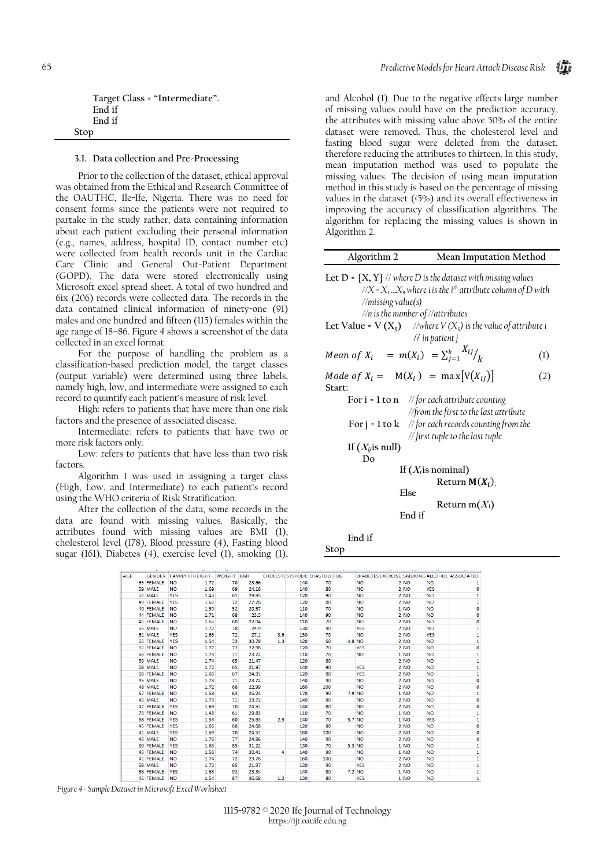| Target Class = "Intermediate". |  |
|--------------------------------|--|
| Fnd if                         |  |
| Fnd if                         |  |
| Stop                           |  |

### **3.1. Data collection and Pre-Processing**

Prior to the collection of the dataset, ethical approval was obtained from the Ethical and Research Committee of the OAUTHC, Ile-Ife, Nigeria. There was no need for consent forms since the patients were not required to partake in the study rather, data containing information about each patient excluding their personal information (e.g., names, address, hospital ID, contact number etc) were collected from health records unit in the Cardiac Care Clinic and General Out-Patient Department (GOPD). The data were stored electronically using Microsoft excel spread sheet. A total of two hundred and 6ix (206) records were collected data. The records in the data contained clinical information of ninety-one (91) males and one hundred and fifteen (115) females within the age range of 18–86. Figure 4 shows a screenshot of the data collected in an excel format.

For the purpose of handling the problem as a classification-based prediction model, the target classes (output variable) were determined using three labels, namely high, low, and intermediate were assigned to each record to quantify each patient's measure of risk level.

High: refers to patients that have more than one risk factors and the presence of associated disease.

Intermediate: refers to patients that have two or more risk factors only.

Low: refers to patients that have less than two risk factors.

Algorithm 1 was used in assigning a target class (High, Low, and Intermediate) to each patient's record using the WHO criteria of Risk Stratification.

After the collection of the data, some records in the data are found with missing values. Basically, the attributes found with missing values are BMI (1), cholesterol level (178), Blood pressure (4), Fasting blood sugar (161), Diabetes (4), exercise level (1), smoking (1), and Alcohol (1). Due to the negative effects large number of missing values could have on the prediction accuracy, the attributes with missing value above 50% of the entire dataset were removed**.** Thus, the cholesterol level and fasting blood sugar were deleted from the dataset, therefore reducing the attributes to thirteen. In this study, mean imputation method was used to populate the missing values. The decision of using mean imputation method in this study is based on the percentage of missing values in the dataset (<5%) and its overall effectiveness in improving the accuracy of classification algorithms. The algorithm for replacing the missing values is shown in Algorithm 2.

| Algorithm 2                 | Mean Imputation Method                                                                                                                                                                                       |                  |
|-----------------------------|--------------------------------------------------------------------------------------------------------------------------------------------------------------------------------------------------------------|------------------|
| //missing value(s)          | Let $D = \{X, Y\}$ // where D is the dataset with missing values<br>// $X = X_i  X_n$ where i is the i <sup>th</sup> attribute column of D with<br>$\frac{1}{n}$ is the number of $\frac{1}{\pi}$ attributes |                  |
|                             | Let Value = V $(X_{ij})$ //where $V(X_{ij})$ is the value of attribute i<br>$\frac{1}{i}$ in patient j                                                                                                       |                  |
|                             | <i>Mean of</i> $X_i = m(X_i) = \sum_{i=1}^k \frac{X_{ij}}{k}$                                                                                                                                                | $\left(1\right)$ |
| Start:                      | Mode of $X_i = M(X_i) = \max[V(X_{ii})]$                                                                                                                                                                     | (2)              |
|                             | For $i = 1$ to $n$ // for each attribute counting<br>//from the first to the last attribute<br>For $j = 1$ to $k$ // for each records counting from the<br>// first tuple to the last tuple                  |                  |
| If $(X_{ij}$ is null)<br>Do |                                                                                                                                                                                                              |                  |
|                             | If $(X_i$ is nominal)<br>Return $M(X_i)$ ;<br>Else<br>Return m $(X_i)$<br>End if                                                                                                                             |                  |
| End if                      |                                                                                                                                                                                                              |                  |

**Stop**

| <b>AGE</b> |                  | GENDER FAMILY H HEIGHT WEIGHT BMI |      |    |       |     | CHOLESTE SYSTOLIC DIASTOLI FBG |     |            |                 |            | DIABETES EXERCISE SMOKING ALCOHOL ASSOCIATED |
|------------|------------------|-----------------------------------|------|----|-------|-----|--------------------------------|-----|------------|-----------------|------------|----------------------------------------------|
|            | <b>65 FEMALE</b> | <b>NO</b>                         | 1.72 | 70 | 23.66 |     | 140                            | 70  | <b>NO</b>  | 2 NO            | <b>NO</b>  |                                              |
|            | 59 MALE          | <b>NO</b>                         | 1.69 | 69 | 24.16 |     | 140                            | 80  | <b>NO</b>  | 2 NO            | <b>YES</b> | 0                                            |
|            | 51 MALE          | <b>YES</b>                        | 1.43 | 61 | 29.83 |     | 120                            | 90  | <b>NO</b>  | 2 NO            | <b>NO</b>  | 1                                            |
|            | 49 FEMALE        | <b>YES</b>                        | 1.61 | 72 | 27.78 |     | 120                            | 80  | <b>NO</b>  | 2 NO            | <b>NO</b>  | 1                                            |
|            | 40 FEMALE        | <b>NO</b>                         | 1.59 | 52 | 20.57 |     | 110                            | 70  | <b>NO</b>  | 1 NO            | <b>NO</b>  | o                                            |
|            | 44 FEMALE        | <b>NO</b>                         | 1.71 | 68 | 23.3  |     | 140                            | 90  | <b>NO</b>  | 2 NO            | <b>NO</b>  | O                                            |
|            | 41 FEMALE        | <b>NO</b>                         | 1.65 | 60 | 22.04 |     | 110                            | 70  | <b>NO</b>  | 2 NO            | <b>NO</b>  | 0                                            |
|            | 55 MALE          | <b>NO</b>                         | 1.77 | 78 | 24.9  |     | 130                            | 90  | <b>YES</b> | 2 NO            | <b>NO</b>  | 1                                            |
|            | 61 MALE          | <b>YES</b>                        | 1.63 | 72 | 27.1  | 3.6 | 130                            | 70  | <b>NO</b>  | 2 NO            | <b>YES</b> | 1                                            |
|            | 55 FEMALE        | <b>YES</b>                        | 1.54 | 73 | 30.78 | 1.3 | 120                            | 60  | 4.8 NO     | 2 NO            | <b>NO</b>  | 1                                            |
|            | 61 FEMALE        | <b>NO</b>                         | 1.77 | 72 | 22.98 |     | 120                            | 70  | <b>YES</b> | 2 NO            | <b>NO</b>  | o                                            |
|            | 63 FEMALE        | <b>NO</b>                         | 1.73 | 71 | 23.72 |     | 110                            | 70  | <b>NO</b>  | 1 NO            | <b>NO</b>  | 1                                            |
|            | 69 MALE          | <b>NO</b>                         | 1.74 | 65 | 21.47 |     | 120                            | 60  |            | 2 <sub>NO</sub> | <b>NO</b>  | 1                                            |
|            | 68 MALE          | <b>NO</b>                         | 1.72 | 65 | 21.97 |     | 140                            | 90  | <b>YES</b> | 2 NO            | <b>NO</b>  | 1                                            |
|            | 66 FEMALE        | <b>NO</b>                         | 1.66 | 67 | 24.31 |     | 120                            | 80  | <b>YES</b> | 2 NO            | <b>NO</b>  | 1                                            |
|            | 45 MALE          | <b>NO</b>                         | 1.73 | 71 | 23.72 |     | 140                            | 90  | <b>NO</b>  | 2 NO            | <b>NO</b>  | 0                                            |
|            | 48 MALE          | <b>NO</b>                         | 1.72 | 68 | 22.99 |     | 160                            | 100 | <b>NO</b>  | 2 NO            | <b>NO</b>  | ٥                                            |
|            | 67 FEMALE        | <b>NO</b>                         | 1.58 | 63 | 25.24 |     | 170                            | 90  | 7.9 NO     | 1 NO            | <b>NO</b>  | 1                                            |
|            | 45 MALE          | <b>NO</b>                         | 1.73 | 71 | 23.72 |     | 140                            | 90  | <b>NO</b>  | 2 NO            | <b>NO</b>  | o                                            |
|            | 47 FEMALE        | <b>YES</b>                        | 1.69 | 70 | 24.51 |     | 140                            | 80  | <b>NO</b>  | 2 NO            | <b>NO</b>  | o                                            |
|            | 73 FEMALE        | <b>NO</b>                         | 1.43 | 61 | 29.83 |     | 110                            | 70  | <b>NO</b>  | 1 NO            | <b>NO</b>  | 1                                            |
|            | 68 FEMALE        | <b>YES</b>                        | 1.53 | 60 | 25.63 | 2.9 | 140                            | 70  | 5.7 NO     | 1 <sub>NO</sub> | <b>YES</b> | $\mathbf{1}$                                 |
|            | <b>45 FEMALE</b> | <b>YES</b>                        | 1.66 | 68 | 24.68 |     | 120                            | 80  | <b>NO</b>  | 2 NO            | <b>NO</b>  | 0                                            |
|            | 41 MALE          | <b>YES</b>                        | 1.69 | 70 | 24.51 |     | 160                            | 100 | <b>NO</b>  | 2 NO            | <b>NO</b>  | Ō                                            |
|            | 43 MALE          | <b>NO</b>                         | 1.76 | 77 | 24.86 |     | 140                            | 90  | <b>NO</b>  | 2 NO            | <b>NO</b>  | Ō                                            |
|            | 60 FEMALE        | <b>YES</b>                        | 1.65 | 85 | 31.22 |     | 130                            | 70  | 5.3 NO     | 1 NO            | <b>NO</b>  | 1                                            |
|            | 43 FEMALE        | <b>NO</b>                         | 1.56 | 74 | 30.41 | 4   | 140                            | 90  | NO         | 1 NO            | <b>NO</b>  |                                              |
|            | 41 FEMALE        | <b>NO</b>                         | 1.74 | 72 | 23.78 |     | 160                            | 100 | <b>NO</b>  | 2 NO            | <b>NO</b>  | 1                                            |
|            | 68 MALE          | <b>NO</b>                         | 1.72 | 65 | 21.97 |     | 120                            | 90  | <b>YES</b> | 2 NO            | <b>NO</b>  |                                              |
|            | <b>68 FEMALE</b> | <b>YES</b>                        | 1.63 | 92 | 23.34 |     | 140                            | 80  | 7.2 NO     | 1 NO            | <b>NO</b>  |                                              |
|            | <b>45 FEMALE</b> | <b>NO</b>                         | 1.54 | 87 | 36.68 | 1.2 | 130                            | 80  | <b>YES</b> | 1 NO            | <b>NO</b>  | 1                                            |

*Figure 4 - Sample Dataset in Microsoft Excel Worksheet*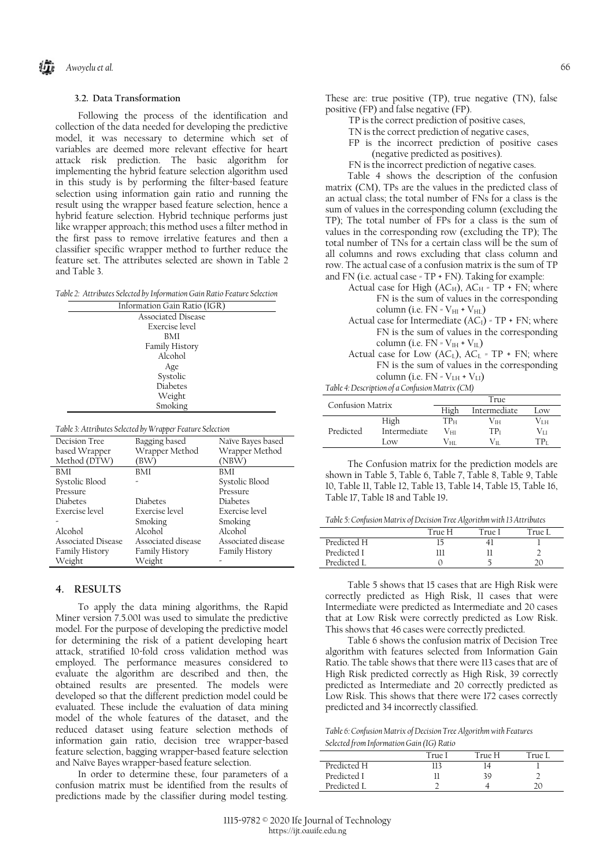## **3.2. Data Transformation**

Following the process of the identification and collection of the data needed for developing the predictive model, it was necessary to determine which set of variables are deemed more relevant effective for heart attack risk prediction. The basic algorithm for implementing the hybrid feature selection algorithm used in this study is by performing the filter-based feature selection using information gain ratio and running the result using the wrapper based feature selection, hence a hybrid feature selection. Hybrid technique performs just like wrapper approach; this method uses a filter method in the first pass to remove irrelative features and then a classifier specific wrapper method to further reduce the feature set. The attributes selected are shown in Table 2 and Table 3.

*Table 2: Attributes Selected by Information Gain Ratio Feature Selection*

| Information Gain Ratio (IGR) |
|------------------------------|
| Associated Disease           |
| Exercise level               |
| BMI                          |
| Family History               |
| Alcohol                      |
| Age                          |
| Systolic                     |
| <b>Diabetes</b>              |
| Weight                       |
| Smoking                      |
|                              |

*Table 3: Attributes Selected by Wrapper Feature Selection*

| Decision Tree         | Bagging based      | Naïve Bayes based  |
|-----------------------|--------------------|--------------------|
| based Wrapper         | Wrapper Method     | Wrapper Method     |
| Method (DTW)          | (BW)               | (NBW)              |
| <b>BMI</b>            | <b>BMI</b>         | BMI                |
| Systolic Blood        |                    | Systolic Blood     |
| Pressure              |                    | Pressure           |
| Diabetes              | Diabetes           | Diabetes           |
| Exercise level        | Exercise level     | Exercise level     |
|                       | Smoking            | Smoking            |
| Alcohol               | Alcohol            | Alcohol            |
| Associated Disease    | Associated disease | Associated disease |
| <b>Family History</b> | Family History     | Family History     |
| Weight                | Weight             |                    |

### **4. RESULTS**

To apply the data mining algorithms, the Rapid Miner version 7.5.001 was used to simulate the predictive model. For the purpose of developing the predictive model for determining the risk of a patient developing heart attack, stratified 10-fold cross validation method was employed. The performance measures considered to evaluate the algorithm are described and then, the obtained results are presented. The models were developed so that the different prediction model could be evaluated. These include the evaluation of data mining model of the whole features of the dataset, and the reduced dataset using feature selection methods of information gain ratio, decision tree wrapper-based feature selection, bagging wrapper-based feature selection and Naïve Bayes wrapper-based feature selection.

In order to determine these, four parameters of a confusion matrix must be identified from the results of predictions made by the classifier during model testing. These are: true positive (TP), true negative (TN), false positive (FP) and false negative (FP).

- TP is the correct prediction of positive cases,
- TN is the correct prediction of negative cases,
- FP is the incorrect prediction of positive cases (negative predicted as positives).
- FN is the incorrect prediction of negative cases.

Table 4 shows the description of the confusion matrix (CM), TPs are the values in the predicted class of an actual class; the total number of FNs for a class is the sum of values in the corresponding column (excluding the TP); The total number of FPs for a class is the sum of values in the corresponding row (excluding the TP); The total number of TNs for a certain class will be the sum of all columns and rows excluding that class column and row. The actual case of a confusion matrix is the sum of TP and FN (i.e. actual case = TP + FN). Taking for example:

- Actual case for High (AC $_{\rm H}$ ), AC $_{\rm H}$  = TP + FN; where FN is the sum of values in the corresponding column (i.e.  $FN = V_{HI} + V_{HL}$ )
- Actual case for Intermediate  $(AC<sub>I</sub>)$  = TP + FN; where FN is the sum of values in the corresponding column (i.e.  $FN = V_{IH} + V_{IL}$ )
- Actual case for Low (ACL), ACL =  $TP + FN$ ; where FN is the sum of values in the corresponding column (i.e.  $FN = V_{LH} + V_{LI}$ )

*Table 4: Description of a Confusion Matrix (CM)*

| Confusion Matrix |              | True |              |      |  |
|------------------|--------------|------|--------------|------|--|
|                  |              | Hiσh | Intermediate | Low. |  |
|                  | High         | ТРн  | Vін.         | ∕тн  |  |
| Predicted        | Intermediate | Vні  | TPı          | Vтт  |  |
|                  | l ow         | Vнг  | V11          | TP,  |  |

The Confusion matrix for the prediction models are shown in Table 5, Table 6, Table 7, Table 8, Table 9, Table 10, Table 11, Table 12, Table 13, Table 14, Table 15, Table 16, Table 17, Table 18 and Table 19**.** 

*Table 5: Confusion Matrix of Decision Tree Algorithm with 13 Attributes*

|             |        | -      |        |
|-------------|--------|--------|--------|
|             | True H | True I | True I |
| Predicted H |        | 41     |        |
| Predicted I | ווו    |        |        |
| Predicted I |        |        |        |
|             |        |        |        |

Table 5 shows that 15 cases that are High Risk were correctly predicted as High Risk, 11 cases that were Intermediate were predicted as Intermediate and 20 cases that at Low Risk were correctly predicted as Low Risk. This shows that 46 cases were correctly predicted.

Table 6 shows the confusion matrix of Decision Tree algorithm with features selected from Information Gain Ratio. The table shows that there were 113 cases that are of High Risk predicted correctly as High Risk, 39 correctly predicted as Intermediate and 20 correctly predicted as Low Risk. This shows that there were 172 cases correctly predicted and 34 incorrectly classified.

*Table 6: Confusion Matrix of Decision Tree Algorithm with Features Selected from Information Gain (IG) Ratio*

|             | True I | True H | True I |
|-------------|--------|--------|--------|
| Predicted H |        | ,4     |        |
| Predicted I |        | 39     |        |
| Predicted I |        |        |        |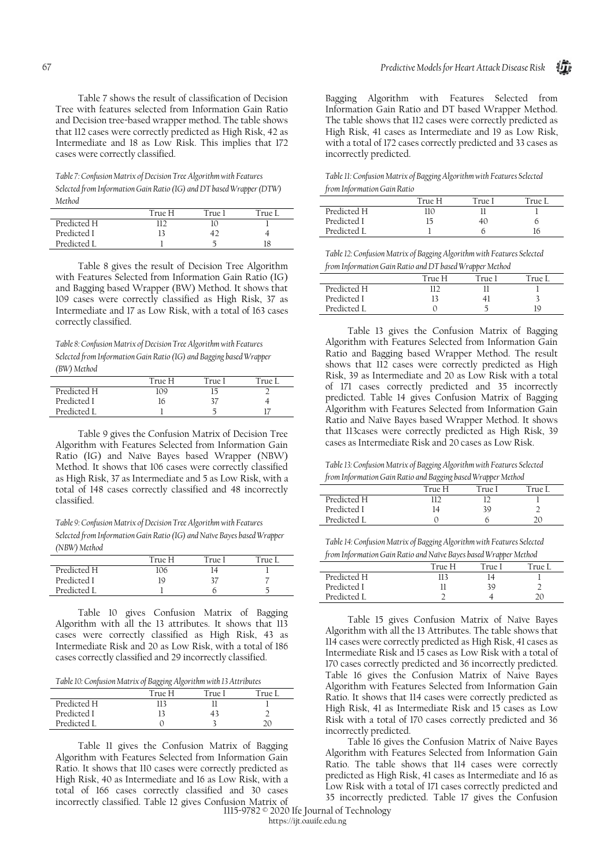Table 7 shows the result of classification of Decision Tree with features selected from Information Gain Ratio and Decision tree-based wrapper method. The table shows that 112 cases were correctly predicted as High Risk, 42 as Intermediate and 18 as Low Risk. This implies that 172 cases were correctly classified.

*Table 7: Confusion Matrix of Decision Tree Algorithm with Features Selected from Information Gain Ratio (IG) and DT based Wrapper (DTW) Method*

|             | True H | True 1 | True L |
|-------------|--------|--------|--------|
| Predicted H | רו     |        |        |
| Predicted I |        |        |        |
| Predicted I |        |        |        |

Table 8 gives the result of Decision Tree Algorithm with Features Selected from Information Gain Ratio (IG) and Bagging based Wrapper (BW) Method. It shows that 109 cases were correctly classified as High Risk, 37 as Intermediate and 17 as Low Risk, with a total of 163 cases correctly classified.

*Table 8: Confusion Matrix of Decision Tree Algorithm with Features Selected from Information Gain Ratio (IG) and Bagging based Wrapper (BW) Method*

|             | True H | True I | True I |
|-------------|--------|--------|--------|
| Predicted H | 109    |        |        |
| Predicted I | 16     | 37     |        |
| Predicted I |        |        |        |

Table 9 gives the Confusion Matrix of Decision Tree Algorithm with Features Selected from Information Gain Ratio (IG) and Naïve Bayes based Wrapper (NBW) Method. It shows that 106 cases were correctly classified as High Risk, 37 as Intermediate and 5 as Low Risk, with a total of 148 cases correctly classified and 48 incorrectly classified.

*Table 9: Confusion Matrix of Decision Tree Algorithm with Features Selected from Information Gain Ratio (IG) and Naïve Bayes based Wrapper (NBW) Method*

|             | True H | True I | $TTI1e$ I |
|-------------|--------|--------|-----------|
| Predicted H | 106    | 14     |           |
| Predicted I | 19     | 37     |           |
| Predicted I |        |        |           |

Table 10 gives Confusion Matrix of Bagging Algorithm with all the 13 attributes. It shows that 113 cases were correctly classified as High Risk, 43 as Intermediate Risk and 20 as Low Risk, with a total of 186 cases correctly classified and 29 incorrectly classified.

*Table 10: Confusion Matrix of Bagging Algorithm with 13 Attributes*

|             | True H | True I | True I |
|-------------|--------|--------|--------|
| Predicted H | 113    |        |        |
| Predicted I |        | 43     |        |
| Predicted I |        |        | 20     |

Table 11 gives the Confusion Matrix of Bagging Algorithm with Features Selected from Information Gain Ratio. It shows that 110 cases were correctly predicted as High Risk, 40 as Intermediate and 16 as Low Risk, with a total of 166 cases correctly classified and 30 cases incorrectly classified. Table 12 gives Confusion Matrix of

Bagging Algorithm with Features Selected from Information Gain Ratio and DT based Wrapper Method. The table shows that 112 cases were correctly predicted as High Risk, 41 cases as Intermediate and 19 as Low Risk, with a total of 172 cases correctly predicted and 33 cases as incorrectly predicted.

*Table 11: Confusion Matrix of Bagging Algorithm with Features Selected from Information Gain Ratio*

|             | True H | True I | True I |
|-------------|--------|--------|--------|
| Predicted H | 110    |        |        |
| Predicted I |        | 40     |        |
| Predicted I |        |        |        |

*Table 12: Confusion Matrix of Bagging Algorithm with Features Selected from Information Gain Ratio and DT based Wrapper Method*

|             | True H | $True$ ) | True I |
|-------------|--------|----------|--------|
| Predicted H |        |          |        |
| Predicted I |        |          |        |
| Predicted L |        |          | 10     |

Table 13 gives the Confusion Matrix of Bagging Algorithm with Features Selected from Information Gain Ratio and Bagging based Wrapper Method. The result shows that 112 cases were correctly predicted as High Risk, 39 as Intermediate and 20 as Low Risk with a total of 171 cases correctly predicted and 35 incorrectly predicted. Table 14 gives Confusion Matrix of Bagging Algorithm with Features Selected from Information Gain Ratio and Naïve Bayes based Wrapper Method. It shows that 113cases were correctly predicted as High Risk, 39 cases as Intermediate Risk and 20 cases as Low Risk.

*Table 13: Confusion Matrix of Bagging Algorithm with Features Selected from Information Gain Ratio and Bagging based Wrapper Method*

|             |        | .      |        |
|-------------|--------|--------|--------|
|             | True H | True I | True L |
| Predicted H |        |        |        |
| Predicted I |        | 39     |        |
| Predicted I |        |        |        |

*Table 14: Confusion Matrix of Bagging Algorithm with Features Selected from Information Gain Ratio and Naïve Bayes based Wrapper Method*

|             | True H | True I | True L |
|-------------|--------|--------|--------|
| Predicted H | 113    |        |        |
| Predicted I |        | 39     |        |
| Predicted L |        |        |        |

Table 15 gives Confusion Matrix of Naïve Bayes Algorithm with all the 13 Attributes. The table shows that 114 cases were correctly predicted as High Risk, 41 cases as Intermediate Risk and 15 cases as Low Risk with a total of 170 cases correctly predicted and 36 incorrectly predicted. Table 16 gives the Confusion Matrix of Naive Bayes Algorithm with Features Selected from Information Gain Ratio. It shows that 114 cases were correctly predicted as High Risk, 41 as Intermediate Risk and 15 cases as Low Risk with a total of 170 cases correctly predicted and 36 incorrectly predicted.

Table 16 gives the Confusion Matrix of Naive Bayes Algorithm with Features Selected from Information Gain Ratio. The table shows that 114 cases were correctly predicted as High Risk, 41 cases as Intermediate and 16 as Low Risk with a total of 171 cases correctly predicted and 35 incorrectly predicted. Table 17 gives the Confusion

67 1115-9782 © 2020 Ife Journal of Technology https://ijt.oauife.edu.ng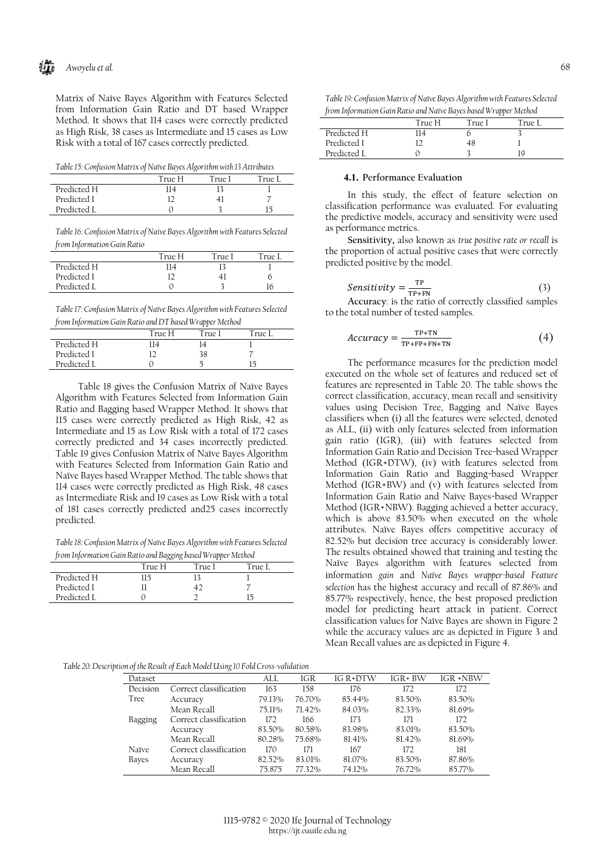Шì *Awoyelu et al.* 68

Matrix of Naïve Bayes Algorithm with Features Selected from Information Gain Ratio and DT based Wrapper Method. It shows that 114 cases were correctly predicted as High Risk, 38 cases as Intermediate and 15 cases as Low Risk with a total of 167 cases correctly predicted.

*Table 15: Confusion Matrix of Naïve Bayes Algorithm with 13 Attributes*

|             | True H | True I | True 1 |
|-------------|--------|--------|--------|
| Predicted H | 14     |        |        |
| Predicted I |        |        |        |
| Predicted L |        |        |        |

*Table 16: Confusion Matrix of Naive Bayes Algorithm with Features Selected from Information Gain Ratio*

|             | True H | True I | True I |
|-------------|--------|--------|--------|
| Predicted H | 14     |        |        |
| Predicted I |        |        | n      |
| Predicted I |        |        |        |
|             |        |        |        |

*Table 17: Confusion Matrix of Naïve Bayes Algorithm with Features Selected from Information Gain Ratio and DT based Wrapper Method*

|             | True H | True 1 | True I |  |
|-------------|--------|--------|--------|--|
| Predicted H | 14     |        |        |  |
| Predicted I |        | 38     |        |  |
| Predicted L |        |        |        |  |
|             |        |        |        |  |

Table 18 gives the Confusion Matrix of Naïve Bayes Algorithm with Features Selected from Information Gain Ratio and Bagging based Wrapper Method. It shows that 115 cases were correctly predicted as High Risk, 42 as Intermediate and 15 as Low Risk with a total of 172 cases correctly predicted and 34 cases incorrectly predicted. Table 19 gives Confusion Matrix of Naïve Bayes Algorithm with Features Selected from Information Gain Ratio and Naïve Bayes based Wrapper Method. The table shows that 114 cases were correctly predicted as High Risk, 48 cases as Intermediate Risk and 19 cases as Low Risk with a total of 181 cases correctly predicted and25 cases incorrectly predicted.

*Table 18: Confusion Matrix of Naïve Bayes Algorithm with Features Selected from Information Gain Ratio and Bagging based Wrapper Method*

|             | True H | True I | True I |
|-------------|--------|--------|--------|
| Predicted H | 115    |        |        |
| Predicted I |        |        |        |
| Predicted I |        |        |        |

|             | True H | True 1 | True I |
|-------------|--------|--------|--------|
| Predicted H | 14     |        |        |
| Predicted I |        | 48     |        |
| Predicted I |        |        | 10     |

#### **4.1. Performance Evaluation**

In this study, the effect of feature selection on classification performance was evaluated. For evaluating the predictive models, accuracy and sensitivity were used as performance metrics.

**Sensitivity,** also known as *true positive rate or recall* is the proportion of actual positive cases that were correctly predicted positive by the model.

$$
Sensitivity = \frac{\text{TP}}{\text{TP+FN}}\tag{3}
$$

**Accuracy**: is the ratio of correctly classified samples to the total number of tested samples.

$$
Accuracy = \frac{TP + TN}{TP + FP + FN + TN} \tag{4}
$$

The performance measures for the prediction model executed on the whole set of features and reduced set of features are represented in Table 20. The table shows the correct classification, accuracy, mean recall and sensitivity values using Decision Tree, Bagging and Naïve Bayes classifiers when (i) all the features were selected, denoted as ALL, (ii) with only features selected from information gain ratio (IGR), (iii) with features selected from Information Gain Ratio and Decision Tree-based Wrapper Method (IGR+DTW), (iv) with features selected from Information Gain Ratio and Bagging-based Wrapper Method (IGR+BW) and (v) with features selected from Information Gain Ratio and Naïve Bayes-based Wrapper Method (IGR+NBW). Bagging achieved a better accuracy, which is above 83.50% when executed on the whole attributes. Naïve Bayes offers competitive accuracy of 82.52% but decision tree accuracy is considerably lower. The results obtained showed that training and testing the Naïve Bayes algorithm with features selected from information *gain* and *Naïve Bayes wrapper-based Feature selection* has the highest accuracy and recall of 87.86% and 85.77% respectively, hence, the best proposed prediction model for predicting heart attack in patient. Correct classification values for Naïve Bayes are shown in Figure 2 while the accuracy values are as depicted in Figure 3 and Mean Recall values are as depicted in Figure 4.

#### *Table 20: Description of the Result of Each Model Using 10 Fold Cross-validation*

|          | $\checkmark$           |        |        |                 |            |          |
|----------|------------------------|--------|--------|-----------------|------------|----------|
| Dataset  |                        | ALL    | IGR    | <b>IG R+DTW</b> | $IGR + BW$ | IGR +NBW |
| Decision | Correct classification | 163    | 158    | 176             | 172        | 172      |
| Tree     | Accuracy               | 79.13% | 76.70% | 85.44%          | 83.50%     | 83.50%   |
|          | Mean Recall            | 75.11% | 71.42% | 84.03%          | 82.33%     | 81.69%   |
| Bagging  | Correct classification | 172    | 166    | 173             | 171        | 172      |
|          | Accuracy               | 83.50% | 80.58% | 83.98%          | 83.01%     | 83.50%   |
|          | Mean Recall            | 80.28% | 75.68% | 81.41%          | 81.42%     | 81.69%   |
| Naïve    | Correct classification | 170    | 171    | 167             | 172        | 181      |
| Bayes    | Accuracy               | 82.52% | 83.01% | 81.07%          | 83.50%     | 87.86%   |
|          | Mean Recall            | 75.875 | 77.32% | 74.12%          | 76.72%     | 85.77%   |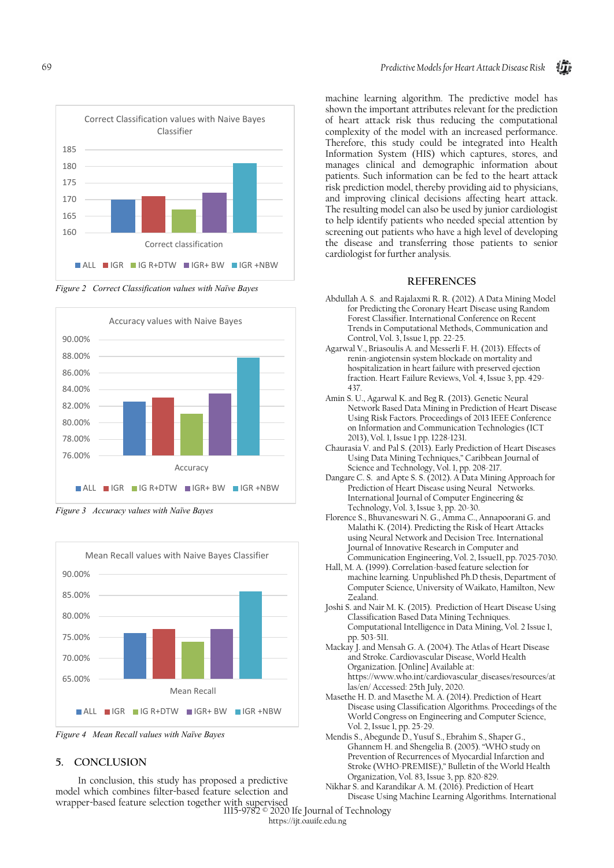

*Figure 2 Correct Classification values with Naïve Bayes*







*Figure 4 Mean Recall values with Naïve Bayes*

# **5. CONCLUSION**

In conclusion, this study has proposed a predictive model which combines filter-based feature selection and wrapper-based feature selection together with supervised

machine learning algorithm. The predictive model has shown the important attributes relevant for the prediction of heart attack risk thus reducing the computational complexity of the model with an increased performance. Therefore, this study could be integrated into Health Information System (HIS) which captures, stores, and manages clinical and demographic information about patients. Such information can be fed to the heart attack risk prediction model, thereby providing aid to physicians, and improving clinical decisions affecting heart attack. The resulting model can also be used by junior cardiologist to help identify patients who needed special attention by screening out patients who have a high level of developing the disease and transferring those patients to senior cardiologist for further analysis.

### **REFERENCES**

- Abdullah A. S. and Rajalaxmi R. R. (2012). A Data Mining Model for Predicting the Coronary Heart Disease using Random Forest Classifier. International Conference on Recent Trends in Computational Methods, Communication and Control, Vol. 3, Issue 1, pp. 22-25.
- Agarwal V., Briasoulis A. and Messerli F. H. (2013). Effects of renin-angiotensin system blockade on mortality and hospitalization in heart failure with preserved ejection fraction. Heart Failure Reviews, Vol. 4, Issue 3, pp. 429- 437.
- Amin S. U., Agarwal K. and Beg R. (2013). Genetic Neural Network Based Data Mining in Prediction of Heart Disease Using Risk Factors. Proceedings of 2013 IEEE Conference on Information and Communication Technologies (ICT 2013), Vol. 1, Issue 1 pp. 1228-1231.
- Chaurasia V. and Pal S. (2013). Early Prediction of Heart Diseases Using Data Mining Techniques," Caribbean Journal of Science and Technology, Vol. 1, pp. 208-217.
- Dangare C. S. and Apte S. S. (2012). A Data Mining Approach for Prediction of Heart Disease using Neural Networks. International Journal of Computer Engineering & Technology, Vol. 3, Issue 3, pp. 20-30.
- Florence S., Bhuvaneswari N. G., Amma C., Annapoorani G. and Malathi K. (2014). Predicting the Risk of Heart Attacks using Neural Network and Decision Tree. International Journal of Innovative Research in Computer and Communication Engineering, Vol. 2, Issue11, pp. 7025-7030.
- Hall, M. A. (1999). Correlation-based feature selection for machine learning. Unpublished Ph.D thesis, Department of Computer Science, University of Waikato, Hamilton, New Zealand.
- Joshi S. and Nair M. K. (2015). Prediction of Heart Disease Using Classification Based Data Mining Techniques. Computational Intelligence in Data Mining, Vol. 2 Issue 1, pp. 503-511.
- Mackay J. and Mensah G. A. (2004). The Atlas of Heart Disease and Stroke. Cardiovascular Disease, World Health Organization. [Online] Available at: [https://www.who.int/cardiovascular\\_diseases/resources/at](https://www.who.int/cardiovascular_diseases/resources/atlas/en/) [las/en/](https://www.who.int/cardiovascular_diseases/resources/atlas/en/) Accessed: 25th July, 2020.
- Masethe H. D. and Masethe M. A. (2014). Prediction of Heart Disease using Classification Algorithms. Proceedings of the World Congress on Engineering and Computer Science, Vol. 2, Issue 1, pp. 25-29.
- Mendis S., Abegunde D., Yusuf S., Ebrahim S., Shaper G., Ghannem H. and Shengelia B. (2005). "WHO study on Prevention of Recurrences of Myocardial Infarction and Stroke (WHO-PREMISE)," Bulletin of the World Health Organization, Vol. 83, Issue 3, pp. 820-829.
- Nikhar S. and Karandikar A. M. (2016). Prediction of Heart Disease Using Machine Learning Algorithms. International

69 1115-9782 © 2020 Ife Journal of Technology

https://ijt.oauife.edu.ng